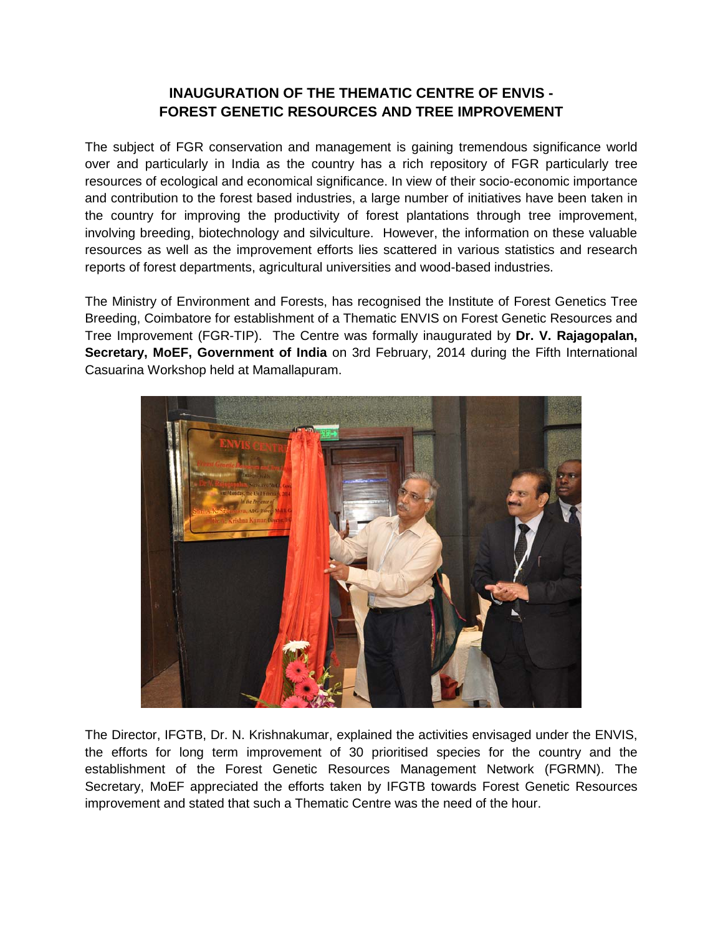## **INAUGURATION OF THE THEMATIC CENTRE OF ENVIS - FOREST GENETIC RESOURCES AND TREE IMPROVEMENT**

The subject of FGR conservation and management is gaining tremendous significance world over and particularly in India as the country has a rich repository of FGR particularly tree resources of ecological and economical significance. In view of their socio-economic importance and contribution to the forest based industries, a large number of initiatives have been taken in the country for improving the productivity of forest plantations through tree improvement, involving breeding, biotechnology and silviculture. However, the information on these valuable resources as well as the improvement efforts lies scattered in various statistics and research reports of forest departments, agricultural universities and wood-based industries.

The Ministry of Environment and Forests, has recognised the Institute of Forest Genetics Tree Breeding, Coimbatore for establishment of a Thematic ENVIS on Forest Genetic Resources and Tree Improvement (FGR-TIP). The Centre was formally inaugurated by **Dr. V. Rajagopalan, Secretary, MoEF, Government of India** on 3rd February, 2014 during the Fifth International Casuarina Workshop held at Mamallapuram.



The Director, IFGTB, Dr. N. Krishnakumar, explained the activities envisaged under the ENVIS, the efforts for long term improvement of 30 prioritised species for the country and the establishment of the Forest Genetic Resources Management Network (FGRMN). The Secretary, MoEF appreciated the efforts taken by IFGTB towards Forest Genetic Resources improvement and stated that such a Thematic Centre was the need of the hour.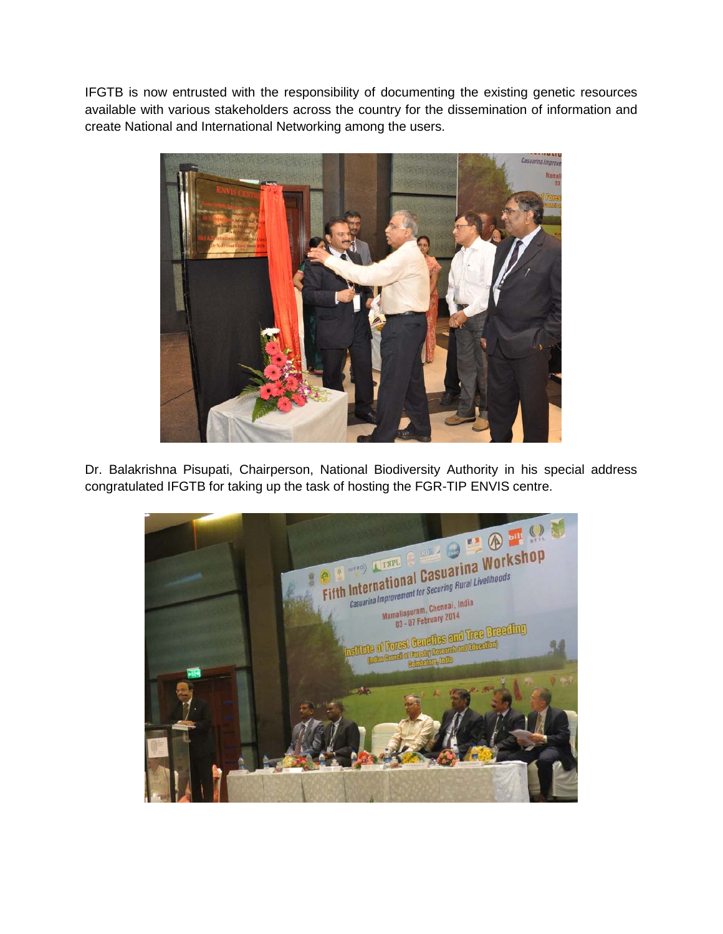IFGTB is now entrusted with the responsibility of documenting the existing genetic resources available with various stakeholders across the country for the dissemination of information and create National and International Networking among the users.



Dr. Balakrishna Pisupati, Chairperson, National Biodiversity Authority in his special address congratulated IFGTB for taking up the task of hosting the FGR-TIP ENVIS centre.